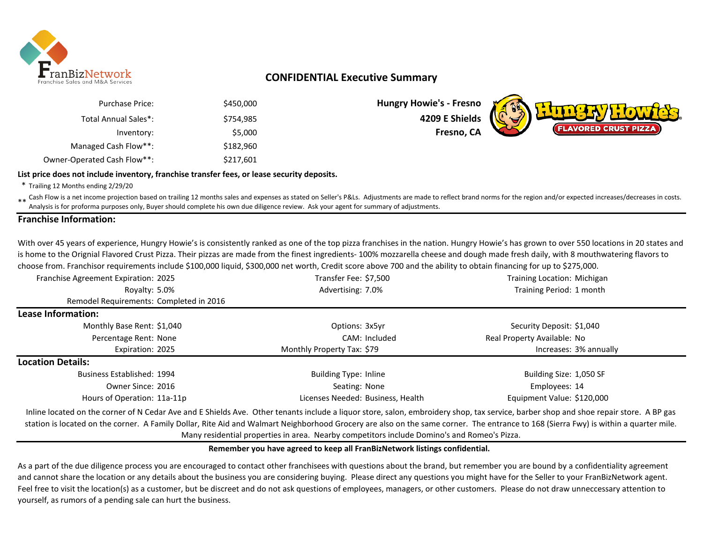

# **CONFIDENTIAL Executive Summary**

| <b>Hungry Howie's - Fresno</b> | \$450,000 | Purchase Price:             |
|--------------------------------|-----------|-----------------------------|
| 4209 E Shields                 | \$754.985 | Total Annual Sales*:        |
| Fresno, CA                     | \$5,000   | Inventory:                  |
|                                | \$182,960 | Managed Cash Flow**:        |
|                                | \$217,601 | Owner-Operated Cash Flow**: |

**Hungry Howie's - Fresno** \$754,985 **4209 E Shields**



## \* Trailing 12 Months ending 2/29/20 **List price does not include inventory, franchise transfer fees, or lease security deposits.**

\*\* Cash Flow is a net income projection based on trailing 12 months sales and expenses as stated on Seller's P&Ls. Adjustments are made to reflect brand norms for the region and/or expected increases/decreases in costs.<br>An Analysis is for proforma purposes only, Buyer should complete his own due diligence review. Ask your agent for summary of adjustments.

## **Franchise Information:**

With over 45 years of experience, Hungry Howie's is consistently ranked as one of the top pizza franchises in the nation. Hungry Howie's has grown to over 550 locations in 20 states and is home to the Orignial Flavored Crust Pizza. Their pizzas are made from the finest ingredients- 100% mozzarella cheese and dough made fresh daily, with 8 mouthwatering flavors to choose from. Franchisor requirements include \$100,000 liquid, \$300,000 net worth, Credit score above 700 and the ability to obtain financing for up to \$275,000.

| Franchise Agreement Expiration: 2025    | Transfer Fee: \$7,500             | Training Location: Michigan |  |
|-----------------------------------------|-----------------------------------|-----------------------------|--|
| Royalty: 5.0%                           | Advertising: 7.0%                 | Training Period: 1 month    |  |
| Remodel Requirements: Completed in 2016 |                                   |                             |  |
| <b>Lease Information:</b>               |                                   |                             |  |
| Monthly Base Rent: \$1,040              | Options: 3x5yr                    | Security Deposit: \$1,040   |  |
| Percentage Rent: None                   | CAM: Included                     | Real Property Available: No |  |
| Expiration: 2025                        | Monthly Property Tax: \$79        | Increases: 3% annually      |  |
| <b>Location Details:</b>                |                                   |                             |  |
| Business Established: 1994              | <b>Building Type: Inline</b>      | Building Size: 1,050 SF     |  |
| Owner Since: 2016                       | Seating: None                     | Employees: 14               |  |
| Hours of Operation: 11a-11p             | Licenses Needed: Business, Health | Equipment Value: \$120,000  |  |

Inline located on the corner of N Cedar Ave and E Shields Ave. Other tenants include a liquor store, salon, embroidery shop, tax service, barber shop and shoe repair store. A BP gas station is located on the corner. A Family Dollar, Rite Aid and Walmart Neighborhood Grocery are also on the same corner. The entrance to 168 (Sierra Fwy) is within a quarter mile. Many residential properties in area. Nearby competitors include Domino's and Romeo's Pizza.

#### **Remember you have agreed to keep all FranBizNetwork listings confidential.**

As a part of the due diligence process you are encouraged to contact other franchisees with questions about the brand, but remember you are bound by a confidentiality agreement and cannot share the location or any details about the business you are considering buying. Please direct any questions you might have for the Seller to your FranBizNetwork agent. Feel free to visit the location(s) as a customer, but be discreet and do not ask questions of employees, managers, or other customers. Please do not draw unneccessary attention to yourself, as rumors of a pending sale can hurt the business.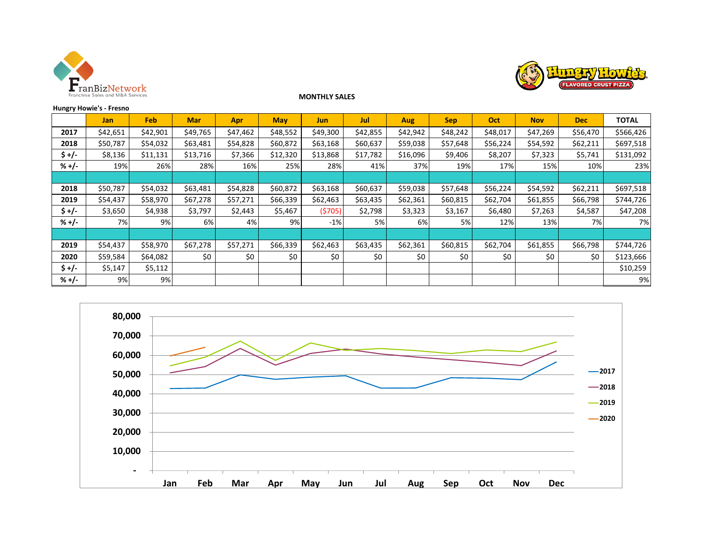



## **MONTHLY SALES**

|  | <b>Hungry Howie's - Fresno</b> |  |
|--|--------------------------------|--|
|--|--------------------------------|--|

|         | <b>Jan</b> | <b>Feb</b> | <b>Mar</b> | Apr      | <b>May</b> | <b>Jun</b> | <b>Jul</b> | Aug      | <b>Sep</b> | Oct      | <b>Nov</b> | <b>Dec</b> | <b>TOTAL</b> |
|---------|------------|------------|------------|----------|------------|------------|------------|----------|------------|----------|------------|------------|--------------|
| 2017    | \$42,651   | \$42,901   | \$49,765   | \$47,462 | \$48,552   | \$49,300   | \$42,855   | \$42,942 | \$48,242   | \$48,017 | \$47,269   | \$56,470   | \$566,426    |
| 2018    | \$50,787   | \$54,032   | \$63,481   | \$54,828 | \$60,872   | \$63,168   | \$60,637   | \$59,038 | \$57,648   | \$56,224 | \$54,592   | \$62,211   | \$697,518    |
| $5 +/-$ | \$8,136    | \$11,131   | \$13,716   | \$7,366  | \$12,320   | \$13,868   | \$17,782   | \$16,096 | \$9,406    | \$8,207  | \$7,323    | \$5,741    | \$131,092    |
| $% +/-$ | 19%        | 26%        | 28%        | 16%      | 25%        | 28%        | 41%        | 37%      | 19%        | 17%      | 15%        | 10%        | 23%          |
|         |            |            |            |          |            |            |            |          |            |          |            |            |              |
| 2018    | \$50,787   | \$54,032   | \$63,481   | \$54,828 | \$60,872   | \$63,168   | \$60,637   | \$59,038 | \$57,648   | \$56,224 | \$54,592   | \$62,211   | \$697,518    |
| 2019    | \$54,437   | \$58,970   | \$67,278   | \$57,271 | \$66,339   | \$62,463   | \$63,435   | \$62,361 | \$60,815   | \$62,704 | \$61,855   | \$66,798   | \$744,726    |
| $5 +/-$ | \$3,650    | \$4,938    | \$3,797    | \$2,443  | \$5,467    | (5705)     | \$2,798    | \$3,323  | \$3,167    | \$6,480  | \$7,263    | \$4,587    | \$47,208     |
| $% +/-$ | 7%         | 9%         | 6%         | 4%       | 9%         | $-1%$      | 5%         | 6%       | 5%         | 12%      | 13%        | 7%         | 7%           |
|         |            |            |            |          |            |            |            |          |            |          |            |            |              |
| 2019    | \$54,437   | \$58,970   | \$67,278   | \$57,271 | \$66,339   | \$62,463   | \$63,435   | \$62,361 | \$60,815   | \$62,704 | \$61,855   | \$66,798   | \$744,726    |
| 2020    | \$59,584   | \$64,082   | \$0        | \$0      | \$0        | \$0        | \$0        | \$0      | \$0        | \$0      | \$0        | \$0        | \$123,666    |
| $5 +/-$ | \$5,147    | \$5,112    |            |          |            |            |            |          |            |          |            |            | \$10,259     |
| $% +/-$ | 9%         | 9%         |            |          |            |            |            |          |            |          |            |            | 9%           |